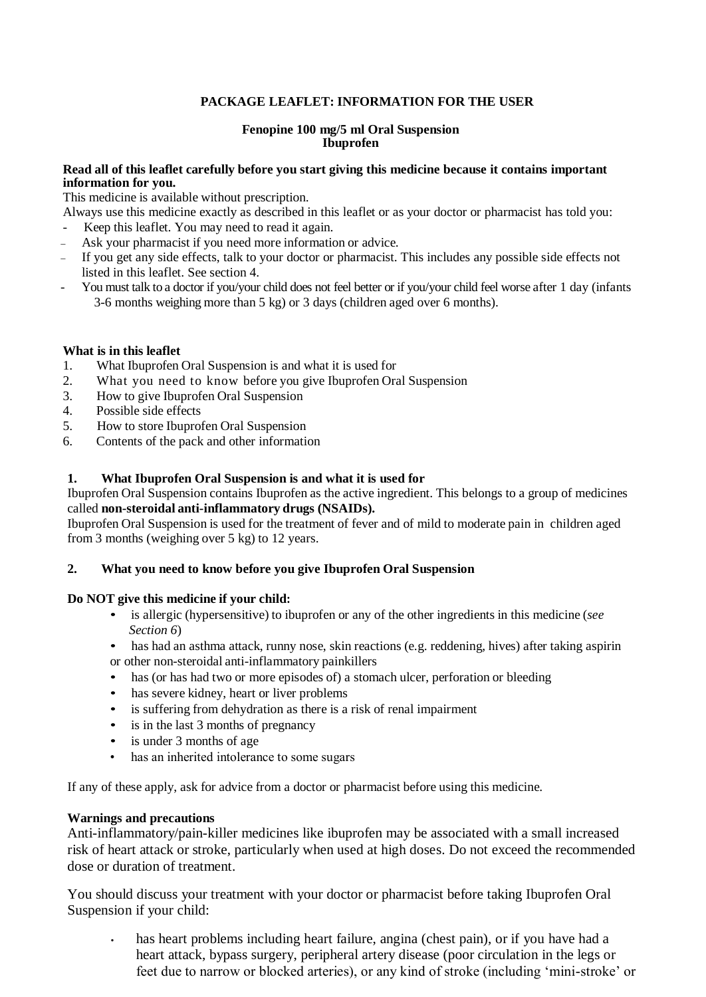# **PACKAGE LEAFLET: INFORMATION FOR THE USER**

## **Fenopine 100 mg/5 ml Oral Suspension Ibuprofen**

# **Read all of this leaflet carefully before you start giving this medicine because it contains important information for you.**

This medicine is available without prescription.

Always use this medicine exactly as described in this leaflet or as your doctor or pharmacist has told you:

- Keep this leaflet. You may need to read it again.
- Ask your pharmacist if you need more information or advice.
- If you get any side effects, talk to your doctor or pharmacist. This includes any possible side effects not listed in this leaflet. See section 4.
- You must talk to a doctor if you/your child does not feel better or if you/your child feel worse after 1 day (infants 3-6 months weighing more than 5 kg) or 3 days (children aged over 6 months).

# **What is in this leaflet**

- 1. What Ibuprofen Oral Suspension is and what it is used for
- 2. What you need to know before you give Ibuprofen Oral Suspension
- 3. How to give Ibuprofen Oral Suspension
- 4. Possible side effects
- 5. How to store Ibuprofen Oral Suspension
- 6. Contents of the pack and other information

# **1. What Ibuprofen Oral Suspension is and what it is used for**

Ibuprofen Oral Suspension contains Ibuprofen as the active ingredient. This belongs to a group of medicines called **non-steroidal anti-inflammatory drugs (NSAIDs).**

Ibuprofen Oral Suspension is used for the treatment of fever and of mild to moderate pain in children aged from 3 months (weighing over 5 kg) to 12 years.

## **2. What you need to know before you give Ibuprofen Oral Suspension**

## **Do NOT give this medicine if your child:**

- is allergic (hypersensitive) to ibuprofen or any of the other ingredients in this medicine (*see Section 6*)
- has had an asthma attack, runny nose, skin reactions (e.g. reddening, hives) after taking aspirin or other non-steroidal anti-inflammatory painkillers
- has (or has had two or more episodes of) a stomach ulcer, perforation or bleeding
- has severe kidney, heart or liver problems
- is suffering from dehydration as there is a risk of renal impairment
- is in the last 3 months of pregnancy
- is under 3 months of age
- has an inherited intolerance to some sugars

If any of these apply, ask for advice from a doctor or pharmacist before using this medicine.

## **Warnings and precautions**

Anti-inflammatory/pain-killer medicines like ibuprofen may be associated with a small increased risk of heart attack or stroke, particularly when used at high doses. Do not exceed the recommended dose or duration of treatment.

You should discuss your treatment with your doctor or pharmacist before taking Ibuprofen Oral Suspension if your child:

**•** has heart problems including heart failure, angina (chest pain), or if you have had a heart attack, bypass surgery, peripheral artery disease (poor circulation in the legs or feet due to narrow or blocked arteries), or any kind of stroke (including 'mini-stroke' or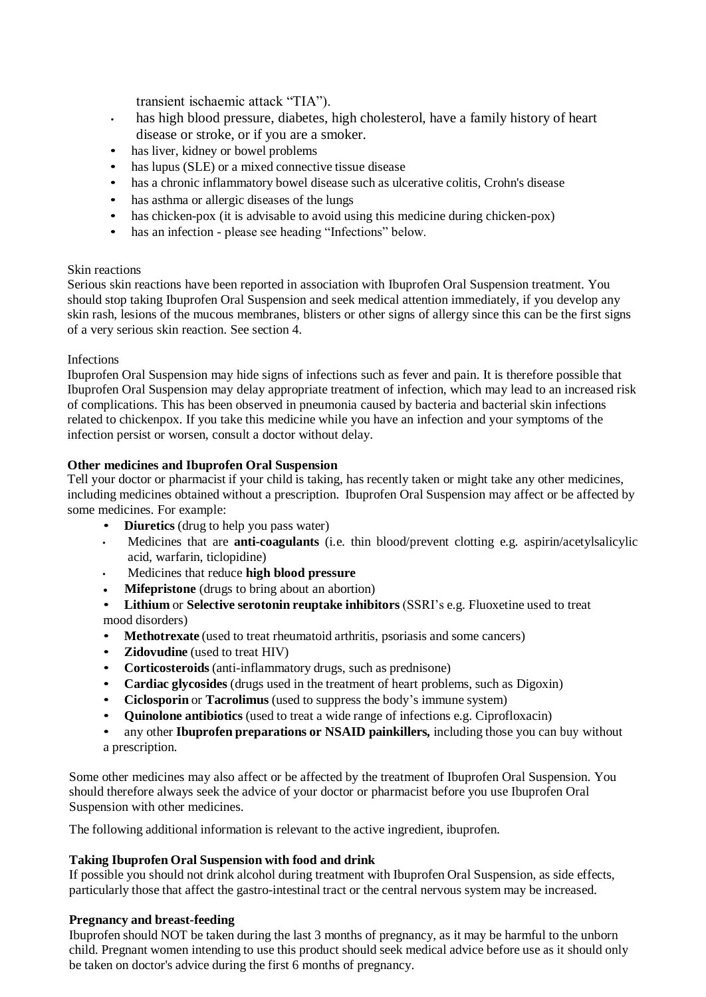transient ischaemic attack "TIA").

- **•** has high blood pressure, diabetes, high cholesterol, have a family history of heart disease or stroke, or if you are a smoker.
- has liver, kidney or bowel problems
- has lupus (SLE) or a mixed connective tissue disease
- has a chronic inflammatory bowel disease such as ulcerative colitis, Crohn's disease
- has asthma or allergic diseases of the lungs
- has chicken-pox (it is advisable to avoid using this medicine during chicken-pox)
- has an infection please see heading "Infections" below.

# Skin reactions

Serious skin reactions have been reported in association with Ibuprofen Oral Suspension treatment. You should stop taking Ibuprofen Oral Suspension and seek medical attention immediately, if you develop any skin rash, lesions of the mucous membranes, blisters or other signs of allergy since this can be the first signs of a very serious skin reaction. See section 4.

# **Infections**

Ibuprofen Oral Suspension may hide signs of infections such as fever and pain. It is therefore possible that Ibuprofen Oral Suspension may delay appropriate treatment of infection, which may lead to an increased risk of complications. This has been observed in pneumonia caused by bacteria and bacterial skin infections related to chickenpox. If you take this medicine while you have an infection and your symptoms of the infection persist or worsen, consult a doctor without delay.

# **Other medicines and Ibuprofen Oral Suspension**

Tell your doctor or pharmacist if your child is taking, has recently taken or might take any other medicines, including medicines obtained without a prescription. Ibuprofen Oral Suspension may affect or be affected by some medicines. For example:

- **Diuretics** (drug to help you pass water)
- **•** Medicines that are **anti-coagulants** (i.e. thin blood/prevent clotting e.g. aspirin/acetylsalicylic acid, warfarin, ticlopidine)
- **•** Medicines that reduce **high blood pressure**
- **Mifepristone** (drugs to bring about an abortion)
- **Lithium** or **Selective serotonin reuptake inhibitors** (SSRI's e.g. Fluoxetine used to treat mood disorders)
- **Methotrexate** (used to treat rheumatoid arthritis, psoriasis and some cancers)
- **Zidovudine** (used to treat HIV)
- **Corticosteroids** (anti-inflammatory drugs, such as prednisone)
- **Cardiac glycosides** (drugs used in the treatment of heart problems, such as Digoxin)
- **Ciclosporin** or **Tacrolimus** (used to suppress the body's immune system)
- **Quinolone antibiotics** (used to treat a wide range of infections e.g. Ciprofloxacin)
- any other **Ibuprofen preparations or NSAID painkillers***,* including those you can buy without a prescription.

Some other medicines may also affect or be affected by the treatment of Ibuprofen Oral Suspension. You should therefore always seek the advice of your doctor or pharmacist before you use Ibuprofen Oral Suspension with other medicines.

The following additional information is relevant to the active ingredient, ibuprofen.

# **Taking Ibuprofen Oral Suspension with food and drink**

If possible you should not drink alcohol during treatment with Ibuprofen Oral Suspension, as side effects, particularly those that affect the gastro-intestinal tract or the central nervous system may be increased.

# **Pregnancy and breast-feeding**

Ibuprofen should NOT be taken during the last 3 months of pregnancy, as it may be harmful to the unborn child. Pregnant women intending to use this product should seek medical advice before use as it should only be taken on doctor's advice during the first 6 months of pregnancy.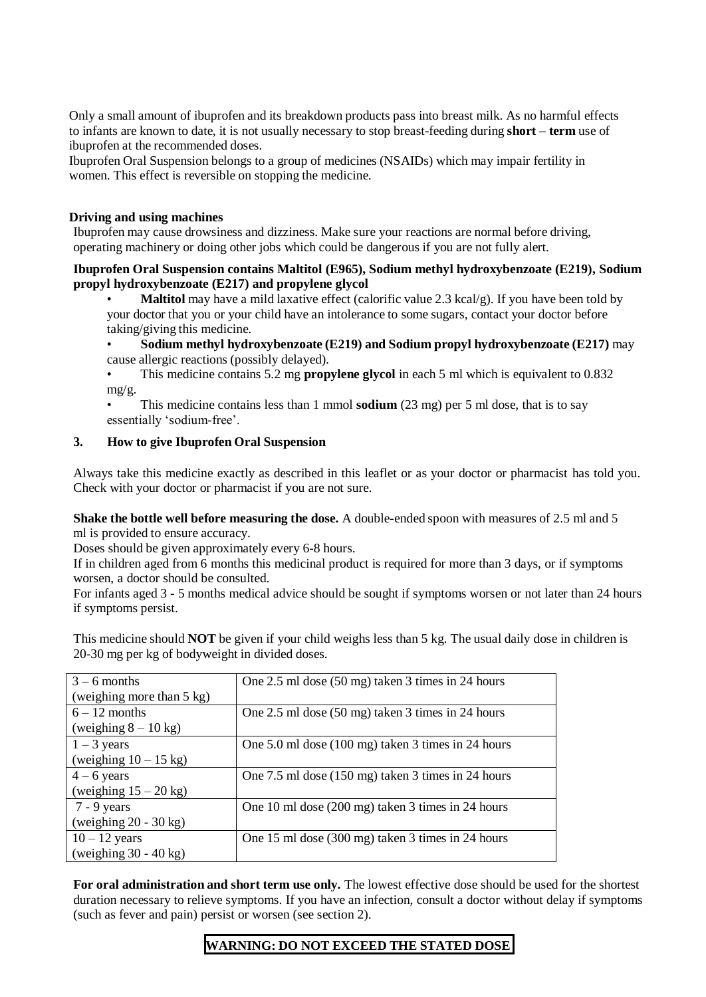Only a small amount of ibuprofen and its breakdown products pass into breast milk. As no harmful effects to infants are known to date, it is not usually necessary to stop breast-feeding during **short – term** use of ibuprofen at the recommended doses.

Ibuprofen Oral Suspension belongs to a group of medicines (NSAIDs) which may impair fertility in women. This effect is reversible on stopping the medicine.

## **Driving and using machines**

Ibuprofen may cause drowsiness and dizziness. Make sure your reactions are normal before driving, operating machinery or doing other jobs which could be dangerous if you are not fully alert.

## **Ibuprofen Oral Suspension contains Maltitol (E965), Sodium methyl hydroxybenzoate (E219), Sodium propyl hydroxybenzoate (E217) and propylene glycol**

• **Maltitol** may have a mild laxative effect (calorific value 2.3 kcal/g). If you have been told by your doctor that you or your child have an intolerance to some sugars, contact your doctor before taking/giving this medicine.

• **Sodium methyl hydroxybenzoate (E219) and Sodium propyl hydroxybenzoate (E217)** may cause allergic reactions (possibly delayed).

• This medicine contains 5.2 mg **propylene glycol** in each 5 ml which is equivalent to 0.832 mg/g.

• This medicine contains less than 1 mmol **sodium** (23 mg) per 5 ml dose, that is to say essentially 'sodium-free'.

# **3. How to give Ibuprofen Oral Suspension**

Always take this medicine exactly as described in this leaflet or as your doctor or pharmacist has told you. Check with your doctor or pharmacist if you are not sure.

**Shake the bottle well before measuring the dose.** A double-ended spoon with measures of 2.5 ml and 5 ml is provided to ensure accuracy.

Doses should be given approximately every 6-8 hours.

If in children aged from 6 months this medicinal product is required for more than 3 days, or if symptoms worsen, a doctor should be consulted.

For infants aged 3 - 5 months medical advice should be sought if symptoms worsen or not later than 24 hours if symptoms persist.

This medicine should **NOT** be given if your child weighs less than 5 kg. The usual daily dose in children is 20-30 mg per kg of bodyweight in divided doses.

| $3 - 6$ months            | One 2.5 ml dose (50 mg) taken 3 times in 24 hours            |
|---------------------------|--------------------------------------------------------------|
| (weighing more than 5 kg) |                                                              |
| $6 - 12$ months           | One 2.5 ml dose (50 mg) taken 3 times in 24 hours            |
| (weighing $8 - 10$ kg)    |                                                              |
| $1 - 3$ years             | One 5.0 ml dose $(100 \text{ mg})$ taken 3 times in 24 hours |
| (weighing $10 - 15$ kg)   |                                                              |
| $4 - 6$ years             | One 7.5 ml dose (150 mg) taken 3 times in 24 hours           |
| (weighing $15 - 20$ kg)   |                                                              |
| $7 - 9$ years             | One 10 ml dose (200 mg) taken 3 times in 24 hours            |
| (weighing $20 - 30$ kg)   |                                                              |
| $10 - 12$ years           | One 15 ml dose (300 mg) taken 3 times in 24 hours            |
| (weighing $30 - 40$ kg)   |                                                              |

**For oral administration and short term use only.** The lowest effective dose should be used for the shortest duration necessary to relieve symptoms. If you have an infection, consult a doctor without delay if symptoms (such as fever and pain) persist or worsen (see section 2).

# **WARNING: DO NOT EXCEED THE STATED DOSE**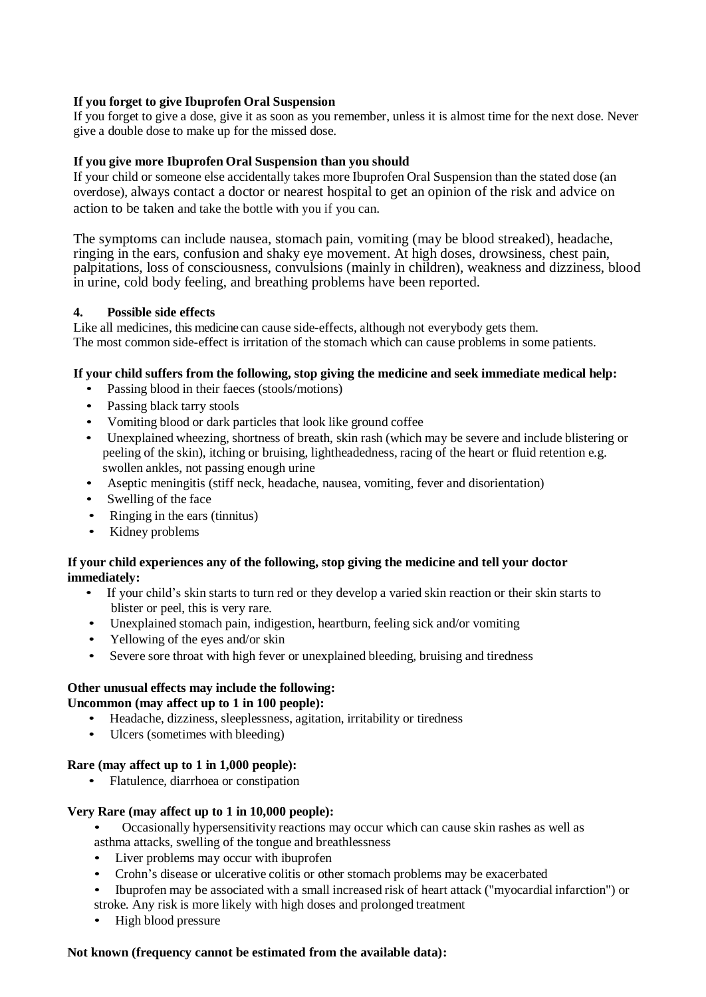# **If you forget to give Ibuprofen Oral Suspension**

If you forget to give a dose, give it as soon as you remember, unless it is almost time for the next dose. Never give a double dose to make up for the missed dose.

# **If you give more Ibuprofen Oral Suspension than you should**

If your child or someone else accidentally takes more Ibuprofen Oral Suspension than the stated dose (an overdose), always contact a doctor or nearest hospital to get an opinion of the risk and advice on action to be taken and take the bottle with you if you can.

The symptoms can include nausea, stomach pain, vomiting (may be blood streaked), headache, ringing in the ears, confusion and shaky eye movement. At high doses, drowsiness, chest pain, palpitations, loss of consciousness, convulsions (mainly in children), weakness and dizziness, blood in urine, cold body feeling, and breathing problems have been reported.

# **4. Possible side effects**

Like all medicines, this medicine can cause side-effects, although not everybody gets them. The most common side-effect is irritation of the stomach which can cause problems in some patients.

# **If your child suffers from the following, stop giving the medicine and seek immediate medical help:**

- Passing blood in their faeces (stools/motions)
- Passing black tarry stools
- Vomiting blood or dark particles that look like ground coffee
- Unexplained wheezing, shortness of breath, skin rash (which may be severe and include blistering or peeling of the skin), itching or bruising, lightheadedness, racing of the heart or fluid retention e.g. swollen ankles, not passing enough urine
- Aseptic meningitis (stiff neck, headache, nausea, vomiting, fever and disorientation)
- Swelling of the face
- Ringing in the ears (tinnitus)
- Kidney problems

# **If your child experiences any of the following, stop giving the medicine and tell your doctor immediately:**

- If your child's skin starts to turn red or they develop a varied skin reaction or their skin starts to blister or peel, this is very rare.
- Unexplained stomach pain, indigestion, heartburn, feeling sick and/or vomiting
- Yellowing of the eyes and/or skin
- Severe sore throat with high fever or unexplained bleeding, bruising and tiredness

# **Other unusual effects may include the following: Uncommon (may affect up to 1 in 100 people):**

- Headache, dizziness, sleeplessness, agitation, irritability or tiredness
- Ulcers (sometimes with bleeding)

## **Rare (may affect up to 1 in 1,000 people):**

• Flatulence, diarrhoea or constipation

## **Very Rare (may affect up to 1 in 10,000 people):**

- Occasionally hypersensitivity reactions may occur which can cause skin rashes as well as asthma attacks, swelling of the tongue and breathlessness
- Liver problems may occur with ibuprofen
- Crohn's disease or ulcerative colitis or other stomach problems may be exacerbated
- Ibuprofen may be associated with a small increased risk of heart attack ("myocardial infarction") or stroke. Any risk is more likely with high doses and prolonged treatment
- High blood pressure

## **Not known (frequency cannot be estimated from the available data):**